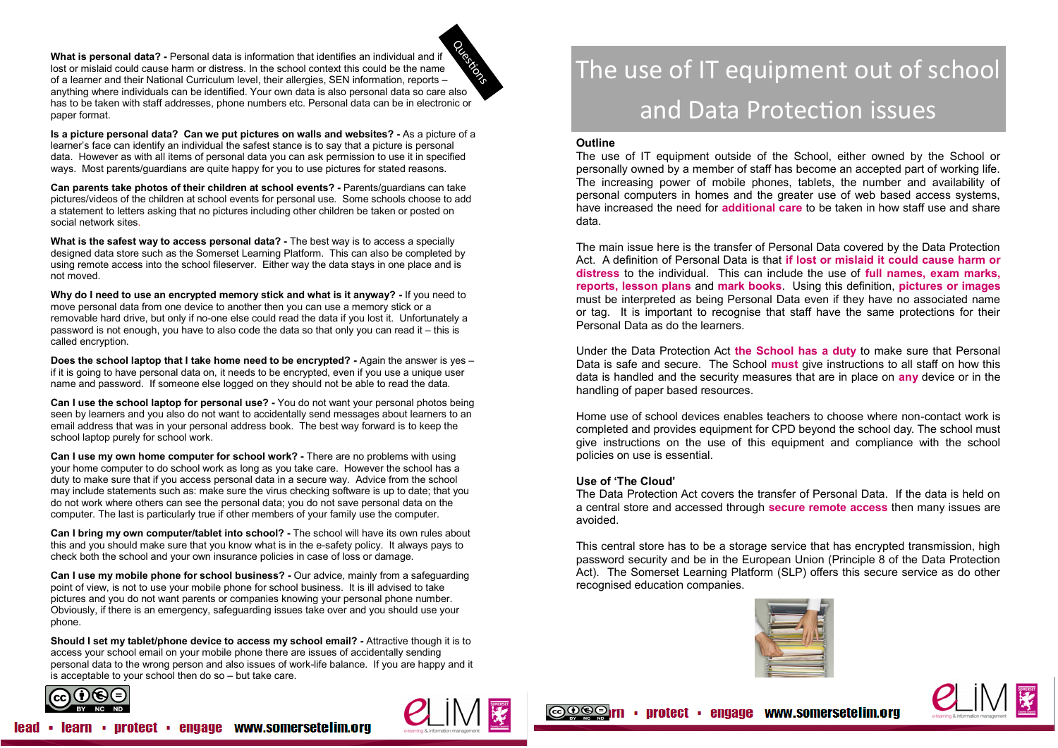**What is personal data? -** Personal data is information that identifies an individual and if lost or mislaid could cause harm or distress. In the school context this could be the name of a learner and their National Curriculum level, their allergies, SEN information, reports – anything where individuals can be identified. Your own data is also personal data so care also has to be taken with staff addresses, phone numbers etc. Personal data can be in electronic or paper format. **Cuestions** 

**Is a picture personal data? Can we put pictures on walls and websites? -** As a picture of a learner's face can identify an individual the safest stance is to say that a picture is personal data. However as with all items of personal data you can ask permission to use it in specified ways. Most parents/guardians are quite happy for you to use pictures for stated reasons.

**Can parents take photos of their children at school events? -** Parents/guardians can take pictures/videos of the children at school events for personal use. Some schools choose to add a statement to letters asking that no pictures including other children be taken or posted on social network sites.

**What is the safest way to access personal data? -** The best way is to access a specially designed data store such as the Somerset Learning Platform. This can also be completed by using remote access into the school fileserver. Either way the data stays in one place and is not moved.

**Why do I need to use an encrypted memory stick and what is it anyway? -** If you need to move personal data from one device to another then you can use a memory stick or a removable hard drive, but only if no-one else could read the data if you lost it. Unfortunately a password is not enough, you have to also code the data so that only you can read it – this is called encryption.

**Does the school laptop that I take home need to be encrypted? -** Again the answer is yes – if it is going to have personal data on, it needs to be encrypted, even if you use a unique user name and password. If someone else logged on they should not be able to read the data.

**Can I use the school laptop for personal use? -** You do not want your personal photos being seen by learners and you also do not want to accidentally send messages about learners to an email address that was in your personal address book. The best way forward is to keep the school laptop purely for school work.

**Can I use my own home computer for school work? -** There are no problems with using your home computer to do school work as long as you take care. However the school has a duty to make sure that if you access personal data in a secure way. Advice from the school may include statements such as: make sure the virus checking software is up to date; that you do not work where others can see the personal data; you do not save personal data on the computer. The last is particularly true if other members of your family use the computer.

**Can I bring my own computer/tablet into school? -** The school will have its own rules about this and you should make sure that you know what is in the e-safety policy. It always pays to check both the school and your own insurance policies in case of loss or damage.

**Can I use my mobile phone for school business? -** Our advice, mainly from a safeguarding point of view, is not to use your mobile phone for school business. It is ill advised to take pictures and you do not want parents or companies knowing your personal phone number. Obviously, if there is an emergency, safeguarding issues take over and you should use your phone.

**Should I set my tablet/phone device to access my school email? -** Attractive though it is to access your school email on your mobile phone there are issues of accidentally sending personal data to the wrong person and also issues of work-life balance. If you are happy and it is acceptable to your school then do so – but take care.



# The use of IT equipment out of school and Data Protection issues

#### **Outline**

The use of IT equipment outside of the School, either owned by the School or personally owned by a member of staff has become an accepted part of working life. The increasing power of mobile phones, tablets, the number and availability of personal computers in homes and the greater use of web based access systems, have increased the need for **additional care** to be taken in how staff use and share data.

The main issue here is the transfer of Personal Data covered by the Data Protection Act. A definition of Personal Data is that **if lost or mislaid it could cause harm or distress** to the individual. This can include the use of **full names, exam marks, reports, lesson plans** and **mark books**. Using this definition, **pictures or images** must be interpreted as being Personal Data even if they have no associated name or tag. It is important to recognise that staff have the same protections for their Personal Data as do the learners.

Under the Data Protection Act **the School has a duty** to make sure that Personal Data is safe and secure. The School **must** give instructions to all staff on how this data is handled and the security measures that are in place on **any** device or in the handling of paper based resources.

Home use of school devices enables teachers to choose where non-contact work is completed and provides equipment for CPD beyond the school day. The school must give instructions on the use of this equipment and compliance with the school policies on use is essential.

#### **Use of 'The Cloud'**

 $\circledcirc$  of  $\circledcirc$ 

The Data Protection Act covers the transfer of Personal Data. If the data is held on a central store and accessed through **secure remote access** then many issues are avoided.

This central store has to be a storage service that has encrypted transmission, high password security and be in the European Union (Principle 8 of the Data Protection Act). The Somerset Learning Platform (SLP) offers this secure service as do other recognised education companies.



protect · engage www.somersetelim.org